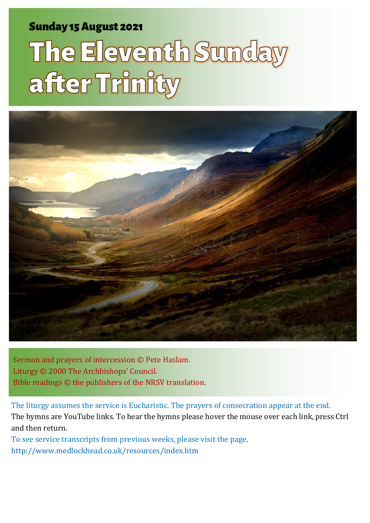### Sunday 15 August 2021 1 The Eleventh Sunday after Trinity and Sunday after Trinity and Sunday after Trinity and

# The Eleventh Sunday after Trinity



Sermon and prayers of intercession © Pete Haslam. Liturgy © 2000 The Archbishops' Council. Bible readings © the publishers of the NRSV translation.

The liturgy assumes the service is Eucharistic. The prayers of consecration appear at the end. The hymns are YouTube links. To hear the hymns please hover the mouse over each link, press Ctrl and then return.

To see service transcripts from previous weeks, please visit the page, <http://www.medlockhead.co.uk/resources/index.htm>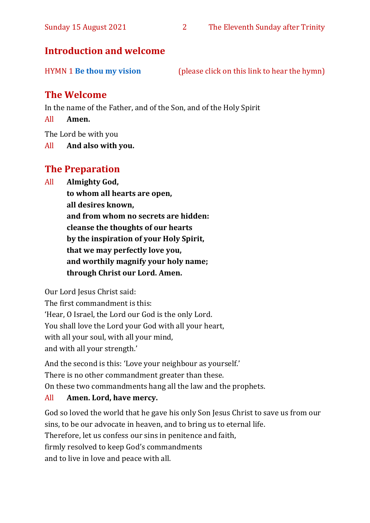#### **Introduction and welcome**

| <b>HYMN 1 Be thou my vision</b> | (please click on this link to hear the hymn) |  |
|---------------------------------|----------------------------------------------|--|
|                                 |                                              |  |

#### **The Welcome**

In the name of the Father, and of the Son, and of the Holy Spirit

All **Amen.**

The Lord be with you

All **And also with you.**

#### **The Preparation**

All **Almighty God,**

**to whom all hearts are open, all desires known, and from whom no secrets are hidden: cleanse the thoughts of our hearts by the inspiration of your Holy Spirit, that we may perfectly love you, and worthily magnify your holy name; through Christ our Lord. Amen.**

Our Lord Jesus Christ said:

The first commandment is this: 'Hear, O Israel, the Lord our God is the only Lord. You shall love the Lord your God with all your heart, with all your soul, with all your mind, and with all your strength.'

And the second is this: 'Love your neighbour as yourself.' There is no other commandment greater than these. On these two commandments hang all the law and the prophets.

#### All **Amen. Lord, have mercy.**

God so loved the world that he gave his only Son Jesus Christ to save us from our sins, to be our advocate in heaven, and to bring us to eternal life. Therefore, let us confess our sins in penitence and faith, firmly resolved to keep God's commandments and to live in love and peace with all.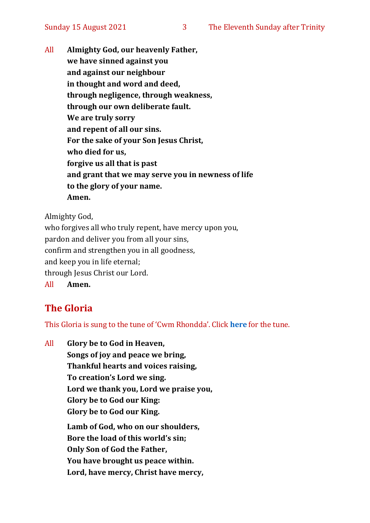All **Almighty God, our heavenly Father, we have sinned against you and against our neighbour in thought and word and deed, through negligence, through weakness, through our own deliberate fault. We are truly sorry and repent of all our sins. For the sake of your Son Jesus Christ, who died for us, forgive us all that is past and grant that we may serve you in newness of life to the glory of your name. Amen.**

Almighty God,

who forgives all who truly repent, have mercy upon you, pardon and deliver you from all your sins, confirm and strengthen you in all goodness, and keep you in life eternal; through Jesus Christ our Lord. All **Amen.**

#### **The Gloria**

This Gloria is sung to the tune of 'Cwm Rhondda'. Click **[here](about:blank)** for the tune.

All **Glory be to God in Heaven, Songs of joy and peace we bring, Thankful hearts and voices raising, To creation's Lord we sing. Lord we thank you, Lord we praise you, Glory be to God our King: Glory be to God our King. Lamb of God, who on our shoulders, Bore the load of this world's sin; Only Son of God the Father, You have brought us peace within. Lord, have mercy, Christ have mercy,**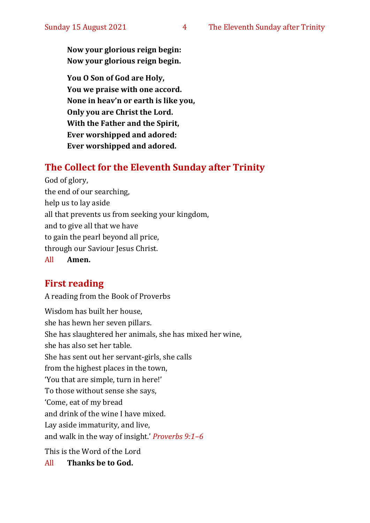**Now your glorious reign begin: Now your glorious reign begin.**

**You O Son of God are Holy, You we praise with one accord. None in heav'n or earth is like you, Only you are Christ the Lord. With the Father and the Spirit, Ever worshipped and adored: Ever worshipped and adored.**

#### **The Collect for the Eleventh Sunday after Trinity**

God of glory, the end of our searching, help us to lay aside all that prevents us from seeking your kingdom, and to give all that we have to gain the pearl beyond all price, through our Saviour Jesus Christ. All **Amen.**

#### **First reading**

A reading from the Book of Proverbs

Wisdom has built her house, she has hewn her seven pillars. She has slaughtered her animals, she has mixed her wine, she has also set her table. She has sent out her servant-girls, she calls from the highest places in the town, 'You that are simple, turn in here!' To those without sense she says, 'Come, eat of my bread and drink of the wine I have mixed. Lay aside immaturity, and live, and walk in the way of insight.' *Proverbs 9:1–6* This is the Word of the Lord

All **Thanks be to God.**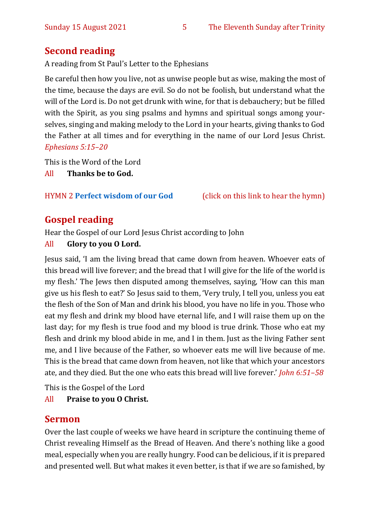#### **Second reading**

A reading from St Paul's Letter to the Ephesians

Be careful then how you live, not as unwise people but as wise, making the most of the time, because the days are evil. So do not be foolish, but understand what the will of the Lord is. Do not get drunk with wine, for that is debauchery; but be filled with the Spirit, as you sing psalms and hymns and spiritual songs among yourselves, singing and making melody to the Lord in your hearts, giving thanks to God the Father at all times and for everything in the name of our Lord Jesus Christ. *Ephesians 5:15–20*

This is the Word of the Lord

All **Thanks be to God.**

#### HYMN 2 **Perfect [wisdom of our God](https://www.youtube.com/watch?v=hSnzYnOe6kI)** (click on this link to hear the hymn)

#### **Gospel reading**

Hear the Gospel of our Lord Jesus Christ according to John

#### All **Glory to you O Lord.**

Jesus said, 'I am the living bread that came down from heaven. Whoever eats of this bread will live forever; and the bread that I will give for the life of the world is my flesh.' The Jews then disputed among themselves, saying, 'How can this man give us his flesh to eat?' So Jesus said to them, 'Very truly, I tell you, unless you eat the flesh of the Son of Man and drink his blood, you have no life in you. Those who eat my flesh and drink my blood have eternal life, and I will raise them up on the last day; for my flesh is true food and my blood is true drink. Those who eat my flesh and drink my blood abide in me, and I in them. Just as the living Father sent me, and I live because of the Father, so whoever eats me will live because of me. This is the bread that came down from heaven, not like that which your ancestors ate, and they died. But the one who eats this bread will live forever.' *John 6:51–58*

This is the Gospel of the Lord

#### All **Praise to you O Christ.**

#### **Sermon**

Over the last couple of weeks we have heard in scripture the continuing theme of Christ revealing Himself as the Bread of Heaven. And there's nothing like a good meal, especially when you are really hungry. Food can be delicious, if it is prepared and presented well. But what makes it even better, is that if we are so famished, by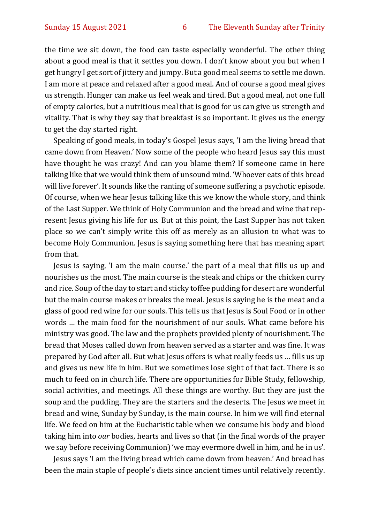the time we sit down, the food can taste especially wonderful. The other thing about a good meal is that it settles you down. I don't know about you but when I get hungry I get sort of jittery and jumpy. But a good meal seems to settle me down. I am more at peace and relaxed after a good meal. And of course a good meal gives us strength. Hunger can make us feel weak and tired. But a good meal, not one full of empty calories, but a nutritious meal that is good for us can give us strength and vitality. That is why they say that breakfast is so important. It gives us the energy to get the day started right.

Speaking of good meals, in today's Gospel Jesus says, 'I am the living bread that came down from Heaven.' Now some of the people who heard Jesus say this must have thought he was crazy! And can you blame them? If someone came in here talking like that we would think them of unsound mind. 'Whoever eats of this bread will live forever'. It sounds like the ranting of someone suffering a psychotic episode. Of course, when we hear Jesus talking like this we know the whole story, and think of the Last Supper. We think of Holy Communion and the bread and wine that represent Jesus giving his life for us. But at this point, the Last Supper has not taken place so we can't simply write this off as merely as an allusion to what was to become Holy Communion. Jesus is saying something here that has meaning apart from that.

Jesus is saying, 'I am the main course.' the part of a meal that fills us up and nourishes us the most. The main course is the steak and chips or the chicken curry and rice. Soup of the day to start and sticky toffee pudding for desert are wonderful but the main course makes or breaks the meal. Jesus is saying he is the meat and a glass of good red wine for our souls. This tells us that Jesus is Soul Food or in other words … the main food for the nourishment of our souls. What came before his ministry was good. The law and the prophets provided plenty of nourishment. The bread that Moses called down from heaven served as a starter and was fine. It was prepared by God after all. But what Jesus offers is what really feeds us … fills us up and gives us new life in him. But we sometimes lose sight of that fact. There is so much to feed on in church life. There are opportunities for Bible Study, fellowship, social activities, and meetings. All these things are worthy. But they are just the soup and the pudding. They are the starters and the deserts. The Jesus we meet in bread and wine, Sunday by Sunday, is the main course. In him we will find eternal life. We feed on him at the Eucharistic table when we consume his body and blood taking him into *our* bodies, hearts and lives so that (in the final words of the prayer we say before receiving Communion) 'we may evermore dwell in him, and he in us'.

Jesus says 'I am the living bread which came down from heaven.' And bread has been the main staple of people's diets since ancient times until relatively recently.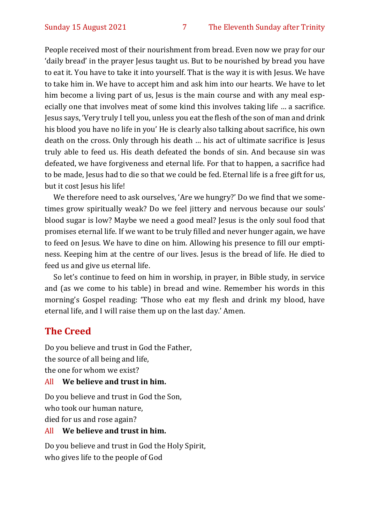People received most of their nourishment from bread. Even now we pray for our 'daily bread' in the prayer Jesus taught us. But to be nourished by bread you have to eat it. You have to take it into yourself. That is the way it is with Jesus. We have to take him in. We have to accept him and ask him into our hearts. We have to let him become a living part of us, Jesus is the main course and with any meal especially one that involves meat of some kind this involves taking life … a sacrifice. Jesus says, 'Very truly I tell you, unless you eat the flesh of the son of man and drink his blood you have no life in you' He is clearly also talking about sacrifice, his own death on the cross. Only through his death … his act of ultimate sacrifice is Jesus truly able to feed us. His death defeated the bonds of sin. And because sin was defeated, we have forgiveness and eternal life. For that to happen, a sacrifice had to be made, Jesus had to die so that we could be fed. Eternal life is a free gift for us, but it cost Jesus his life!

We therefore need to ask ourselves, 'Are we hungry?' Do we find that we sometimes grow spiritually weak? Do we feel jittery and nervous because our souls' blood sugar is low? Maybe we need a good meal? Jesus is the only soul food that promises eternal life. If we want to be truly filled and never hunger again, we have to feed on Jesus. We have to dine on him. Allowing his presence to fill our emptiness. Keeping him at the centre of our lives. Jesus is the bread of life. He died to feed us and give us eternal life.

So let's continue to feed on him in worship, in prayer, in Bible study, in service and (as we come to his table) in bread and wine. Remember his words in this morning's Gospel reading: 'Those who eat my flesh and drink my blood, have eternal life, and I will raise them up on the last day.' Amen.

#### **The Creed**

Do you believe and trust in God the Father, the source of all being and life, the one for whom we exist?

#### All **We believe and trust in him.**

Do you believe and trust in God the Son, who took our human nature, died for us and rose again?

#### All **We believe and trust in him.**

Do you believe and trust in God the Holy Spirit, who gives life to the people of God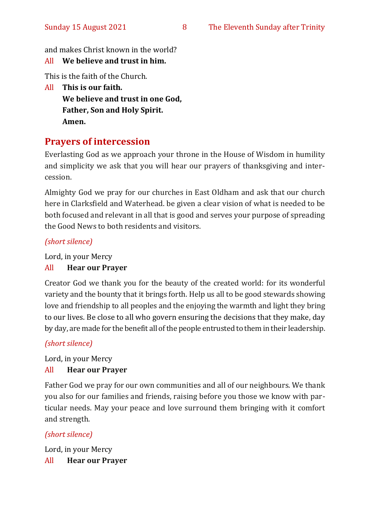and makes Christ known in the world?

#### All **We believe and trust in him.**

This is the faith of the Church.

All **This is our faith. We believe and trust in one God, Father, Son and Holy Spirit. Amen.**

#### **Prayers of intercession**

Everlasting God as we approach your throne in the House of Wisdom in humility and simplicity we ask that you will hear our prayers of thanksgiving and intercession.

Almighty God we pray for our churches in East Oldham and ask that our church here in Clarksfield and Waterhead. be given a clear vision of what is needed to be both focused and relevant in all that is good and serves your purpose of spreading the Good News to both residents and visitors.

#### *(short silence)*

Lord, in your Mercy

#### All **Hear our Prayer**

Creator God we thank you for the beauty of the created world: for its wonderful variety and the bounty that it brings forth. Help us all to be good stewards showing love and friendship to all peoples and the enjoying the warmth and light they bring to our lives. Be close to all who govern ensuring the decisions that they make, day by day, are made for the benefit all of the people entrusted to them in their leadership.

#### *(short silence)*

Lord, in your Mercy

#### All **Hear our Prayer**

Father God we pray for our own communities and all of our neighbours. We thank you also for our families and friends, raising before you those we know with particular needs. May your peace and love surround them bringing with it comfort and strength.

#### *(short silence)*

Lord, in your Mercy All **Hear our Prayer**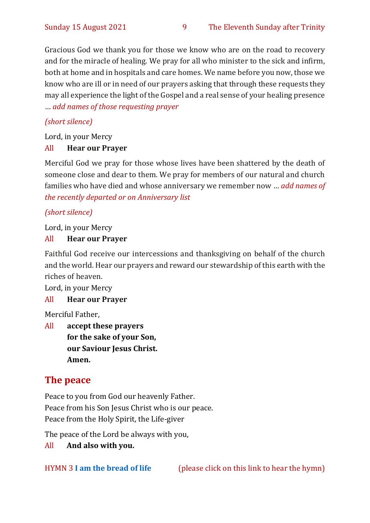Gracious God we thank you for those we know who are on the road to recovery and for the miracle of healing. We pray for all who minister to the sick and infirm, both at home and in hospitals and care homes. We name before you now, those we know who are ill or in need of our prayers asking that through these requests they may all experience the light of the Gospel and a real sense of your healing presence … *add names of those requesting prayer*

#### *(short silence)*

Lord, in your Mercy

#### All **Hear our Prayer**

Merciful God we pray for those whose lives have been shattered by the death of someone close and dear to them. We pray for members of our natural and church families who have died and whose anniversary we remember now … *add names of the recently departed or on Anniversary list*

#### *(short silence)*

Lord, in your Mercy

#### All **Hear our Prayer**

Faithful God receive our intercessions and thanksgiving on behalf of the church and the world. Hear our prayers and reward our stewardship of this earth with the riches of heaven.

Lord, in your Mercy

#### All **Hear our Prayer**

Merciful Father,

All **accept these prayers for the sake of your Son, our Saviour Jesus Christ. Amen.**

#### **The peace**

Peace to you from God our heavenly Father. Peace from his Son Jesus Christ who is our peace. Peace from the Holy Spirit, the Life-giver

The peace of the Lord be always with you,

All **And also with you.**

HYMN 3 **[I am the bread of life](https://www.youtube.com/watch?v=S-HU0wfR_xw)** (please click on this link to hear the hymn)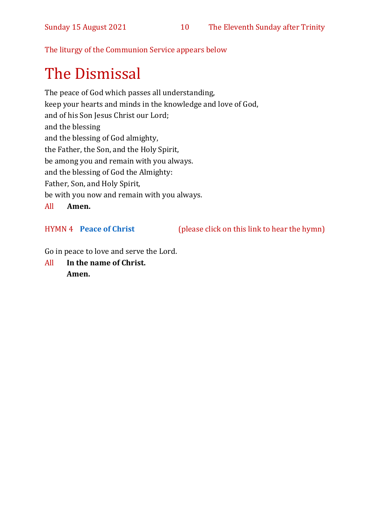The liturgy of the Communion Service appears below

## The Dismissal

The peace of God which passes all understanding, keep your hearts and minds in the knowledge and love of God, and of his Son Jesus Christ our Lord; and the blessing and the blessing of God almighty, the Father, the Son, and the Holy Spirit, be among you and remain with you always. and the blessing of God the Almighty: Father, Son, and Holy Spirit, be with you now and remain with you always. All **Amen.**

HYMN 4 **[Peace of Christ](https://www.youtube.com/watch?v=Waitmz6C100)** (please click on this link to hear the hymn)

Go in peace to love and serve the Lord.

All **In the name of Christ. Amen.**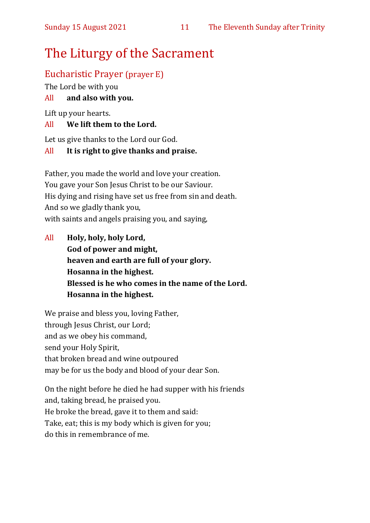## The Liturgy of the Sacrament

#### Eucharistic Prayer (prayer E)

The Lord be with you

#### All **and also with you.**

Lift up your hearts.

#### All **We lift them to the Lord.**

Let us give thanks to the Lord our God.

#### All **It is right to give thanks and praise.**

Father, you made the world and love your creation. You gave your Son Jesus Christ to be our Saviour. His dying and rising have set us free from sin and death. And so we gladly thank you, with saints and angels praising you, and saying,

All **Holy, holy, holy Lord, God of power and might, heaven and earth are full of your glory. Hosanna in the highest. Blessed is he who comes in the name of the Lord. Hosanna in the highest.**

We praise and bless you, loving Father, through Jesus Christ, our Lord; and as we obey his command, send your Holy Spirit, that broken bread and wine outpoured may be for us the body and blood of your dear Son.

On the night before he died he had supper with his friends and, taking bread, he praised you. He broke the bread, gave it to them and said: Take, eat; this is my body which is given for you; do this in remembrance of me.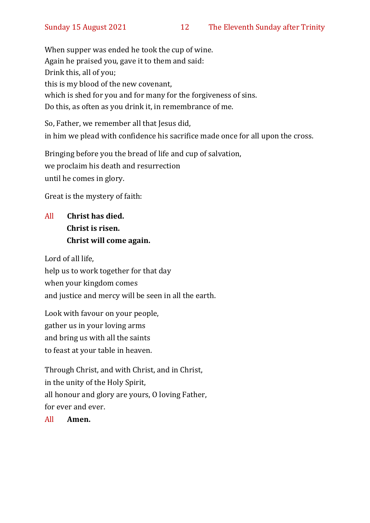When supper was ended he took the cup of wine. Again he praised you, gave it to them and said: Drink this, all of you; this is my blood of the new covenant, which is shed for you and for many for the forgiveness of sins. Do this, as often as you drink it, in remembrance of me.

So, Father, we remember all that Jesus did, in him we plead with confidence his sacrifice made once for all upon the cross.

Bringing before you the bread of life and cup of salvation, we proclaim his death and resurrection until he comes in glory.

Great is the mystery of faith:

#### All **Christ has died. Christ is risen. Christ will come again.**

Lord of all life, help us to work together for that day when your kingdom comes and justice and mercy will be seen in all the earth.

Look with favour on your people, gather us in your loving arms and bring us with all the saints to feast at your table in heaven.

Through Christ, and with Christ, and in Christ, in the unity of the Holy Spirit, all honour and glory are yours, O loving Father, for ever and ever.

All **Amen.**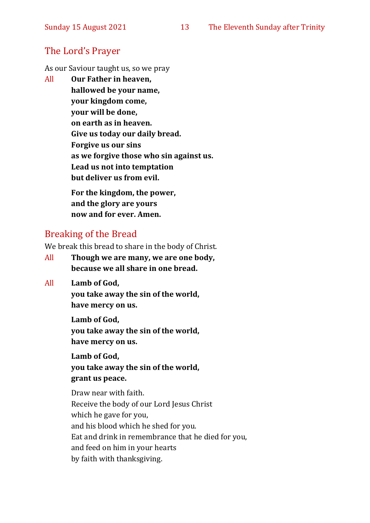#### The Lord's Prayer

As our Saviour taught us, so we pray

All **Our Father in heaven, hallowed be your name, your kingdom come, your will be done, on earth as in heaven. Give us today our daily bread. Forgive us our sins as we forgive those who sin against us. Lead us not into temptation but deliver us from evil. For the kingdom, the power,** 

**and the glory are yours now and for ever. Amen.**

#### Breaking of the Bread

We break this bread to share in the body of Christ.

- All **Though we are many, we are one body, because we all share in one bread.**
- All **Lamb of God,**

**you take away the sin of the world, have mercy on us.**

**Lamb of God, you take away the sin of the world, have mercy on us.**

**Lamb of God, you take away the sin of the world, grant us peace.**

Draw near with faith. Receive the body of our Lord Jesus Christ which he gave for you, and his blood which he shed for you. Eat and drink in remembrance that he died for you, and feed on him in your hearts by faith with thanksgiving.